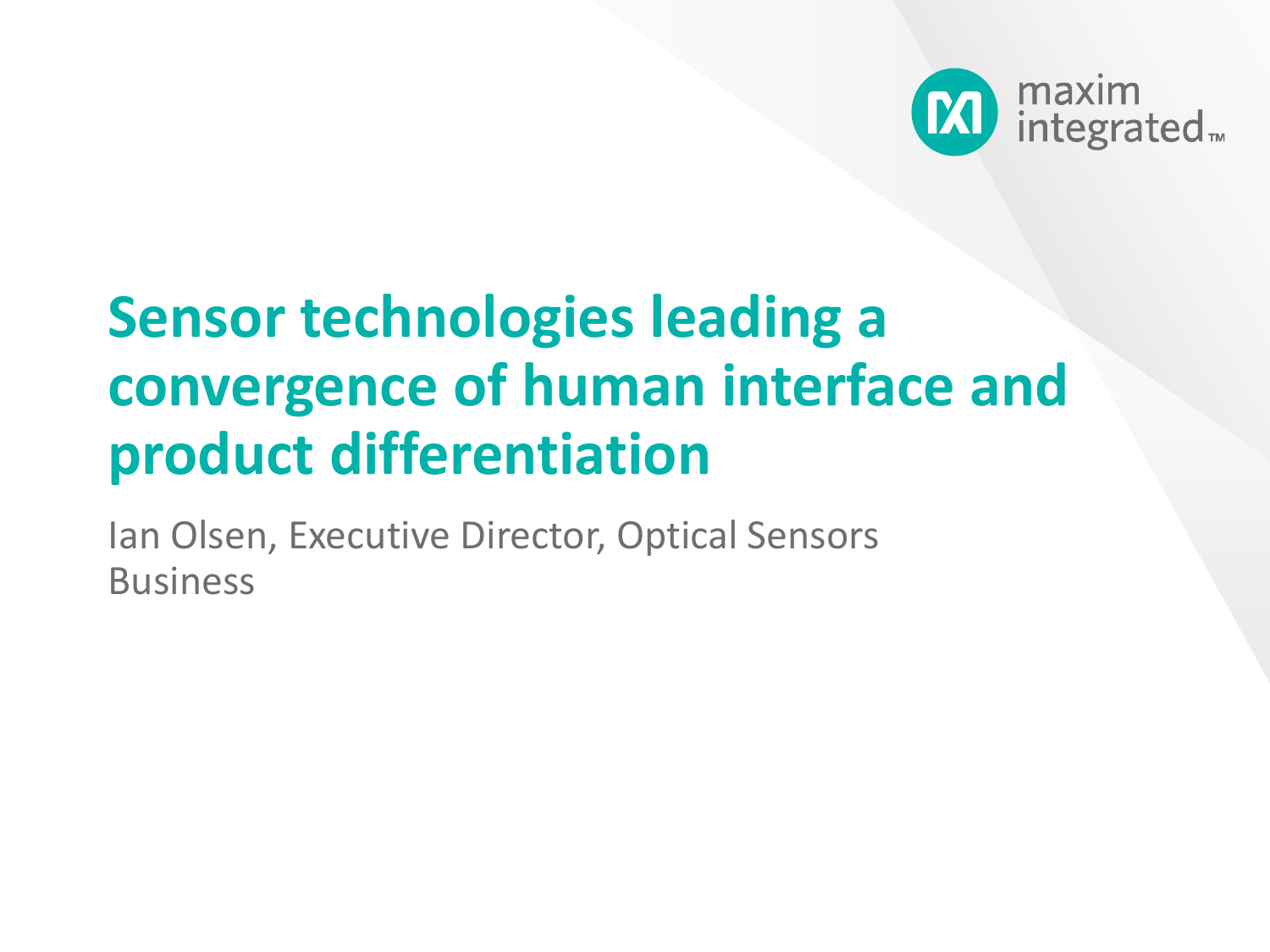

# **Sensor technologies leading a convergence of human interface and product differentiation**

Ian Olsen, Executive Director, Optical Sensors Business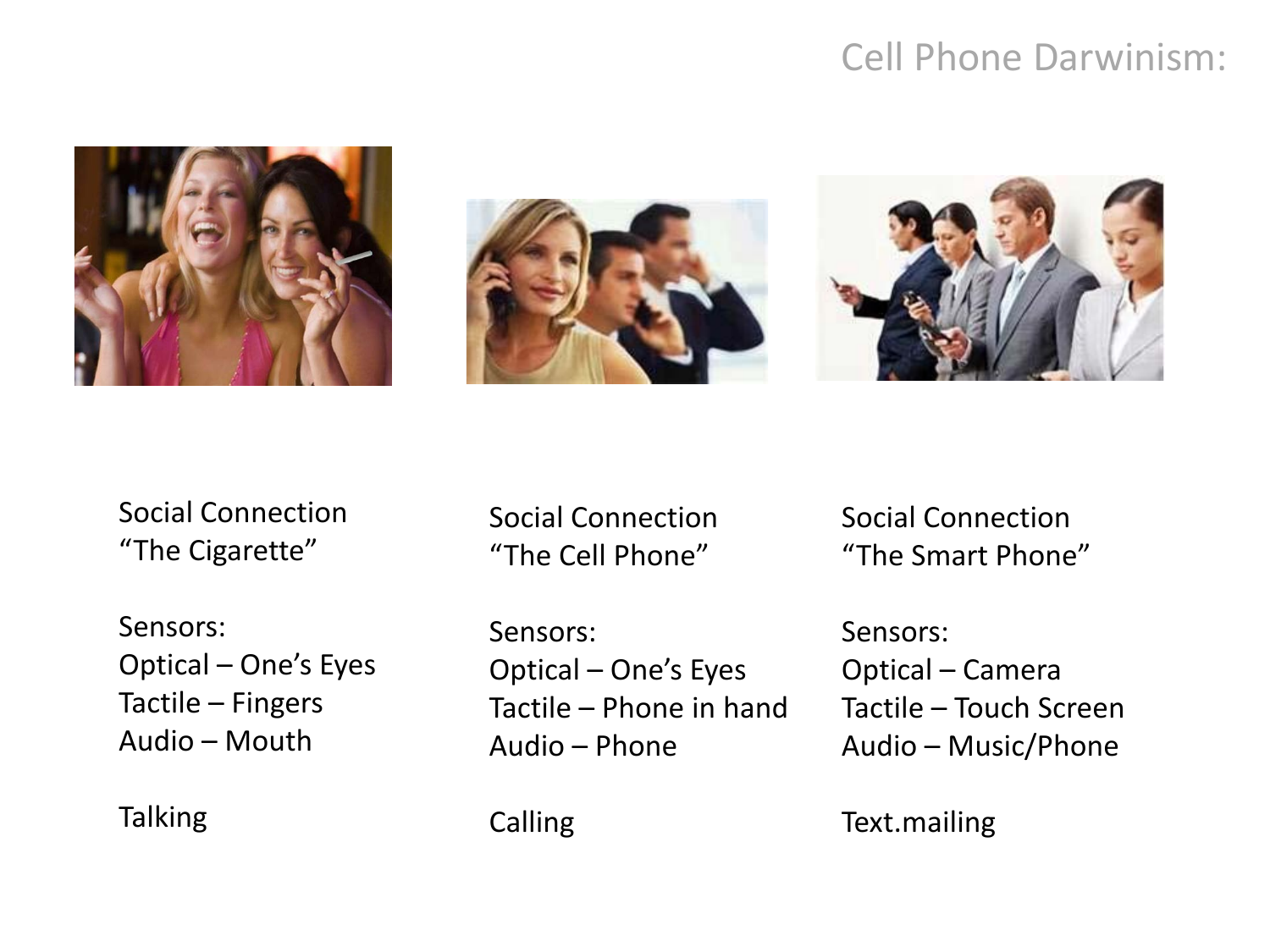#### Cell Phone Darwinism:







Social Connection "The Cigarette"

Sensors: Optical – One's Eyes Tactile – Fingers Audio – Mouth

**Talking** 

Social Connection "The Cell Phone"

Sensors: Optical – One's Eyes Tactile – Phone in hand Audio – Phone

Social Connection "The Smart Phone"

Sensors: Optical – Camera Tactile – Touch Screen Audio – Music/Phone

Text.mailing

Calling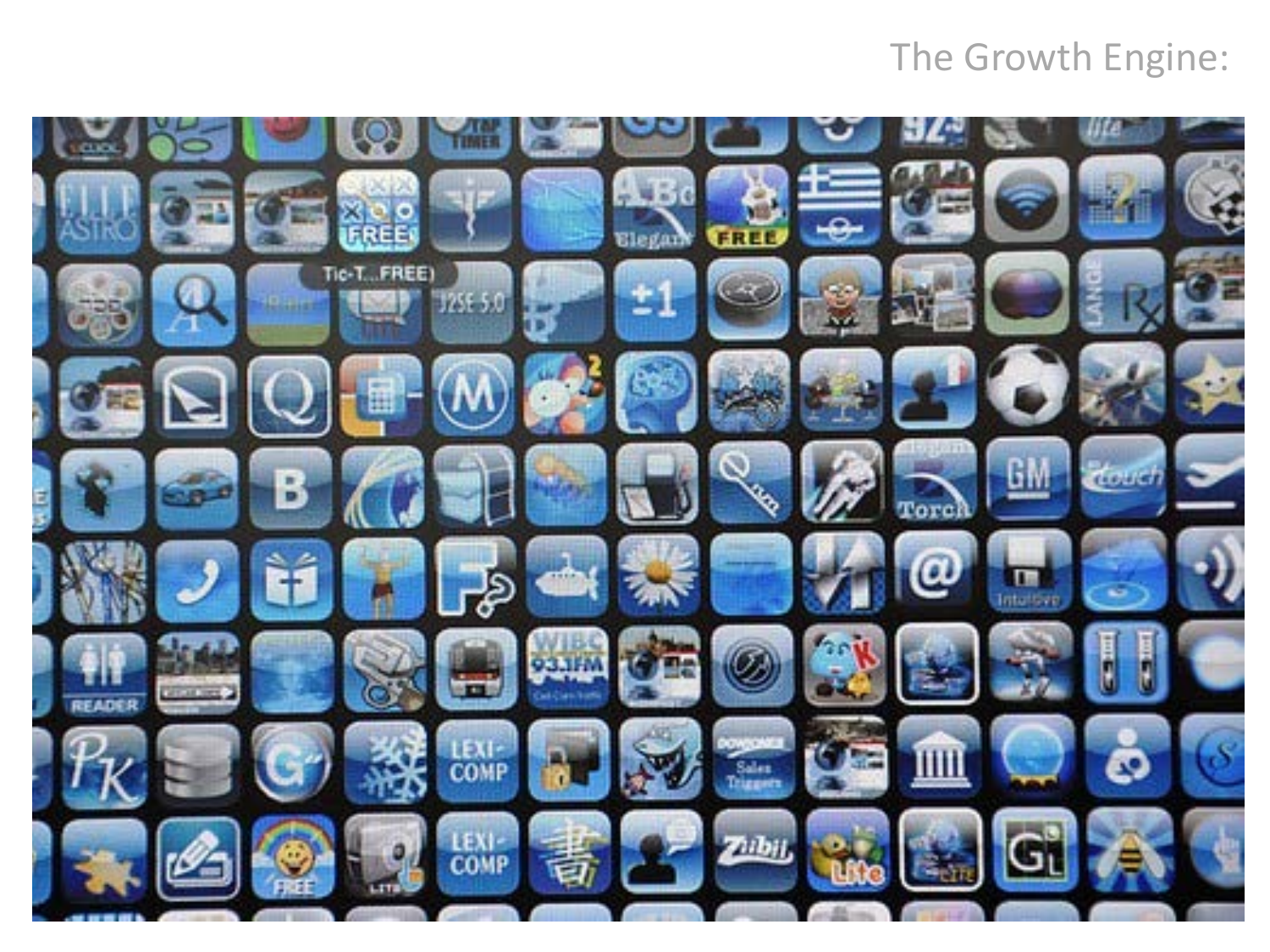## The Growth Engine:

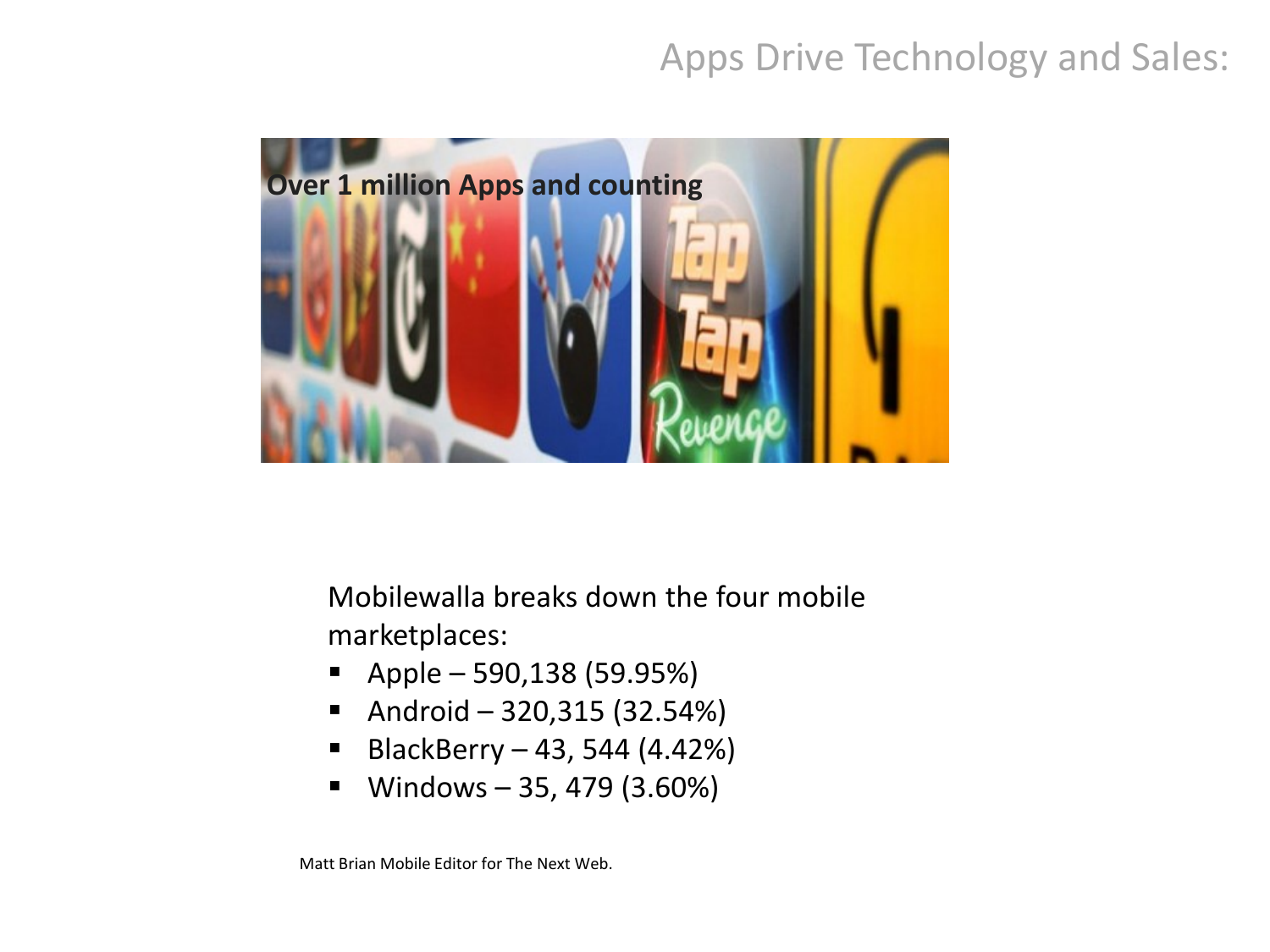## Apps Drive Technology and Sales:



Mobilewalla breaks down the four mobile marketplaces:

- $\blacksquare$  Apple 590,138 (59.95%)
- Android 320,315  $(32.54%)$
- BlackBerry 43, 544 (4.42%)
- **Windows 35, 479 (3.60%)**

Matt Brian Mobile Editor for The Next Web.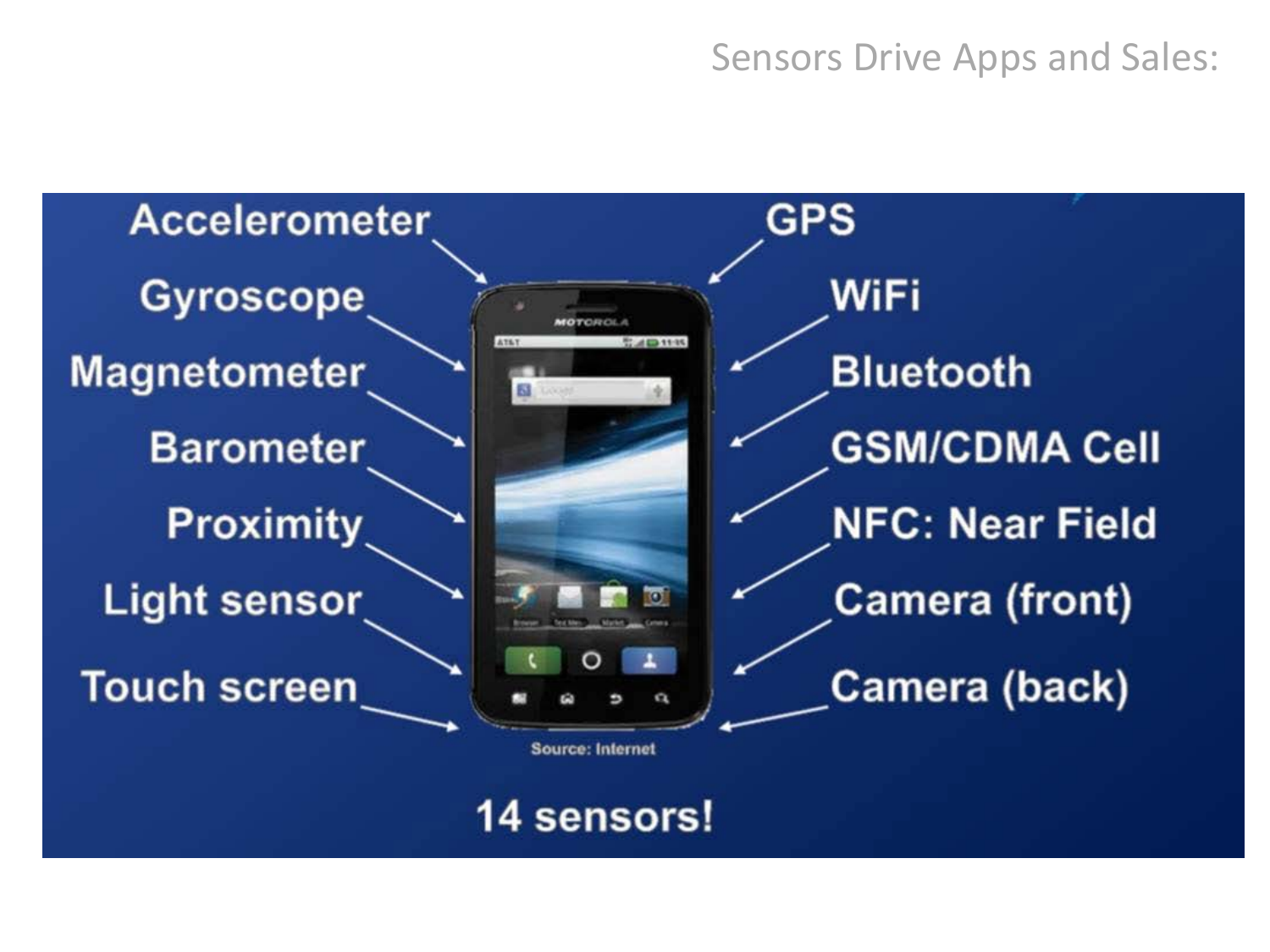#### Sensors Drive Apps and Sales:



## 14 sensors!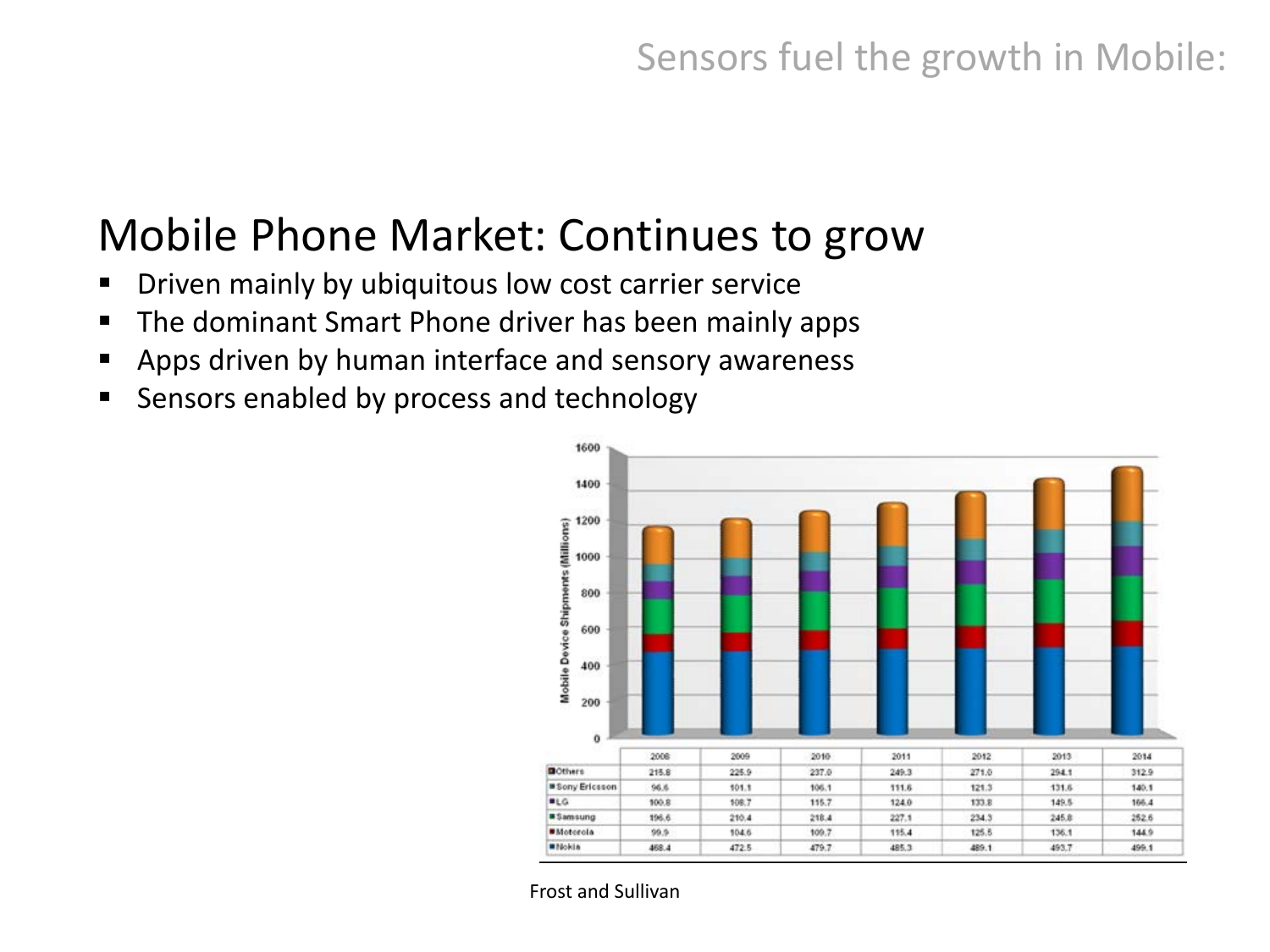## Sensors fuel the growth in Mobile:

## Mobile Phone Market: Continues to grow

- Driven mainly by ubiquitous low cost carrier service
- The dominant Smart Phone driver has been mainly apps
- Apps driven by human interface and sensory awareness
- Sensors enabled by process and technology



Frost and Sullivan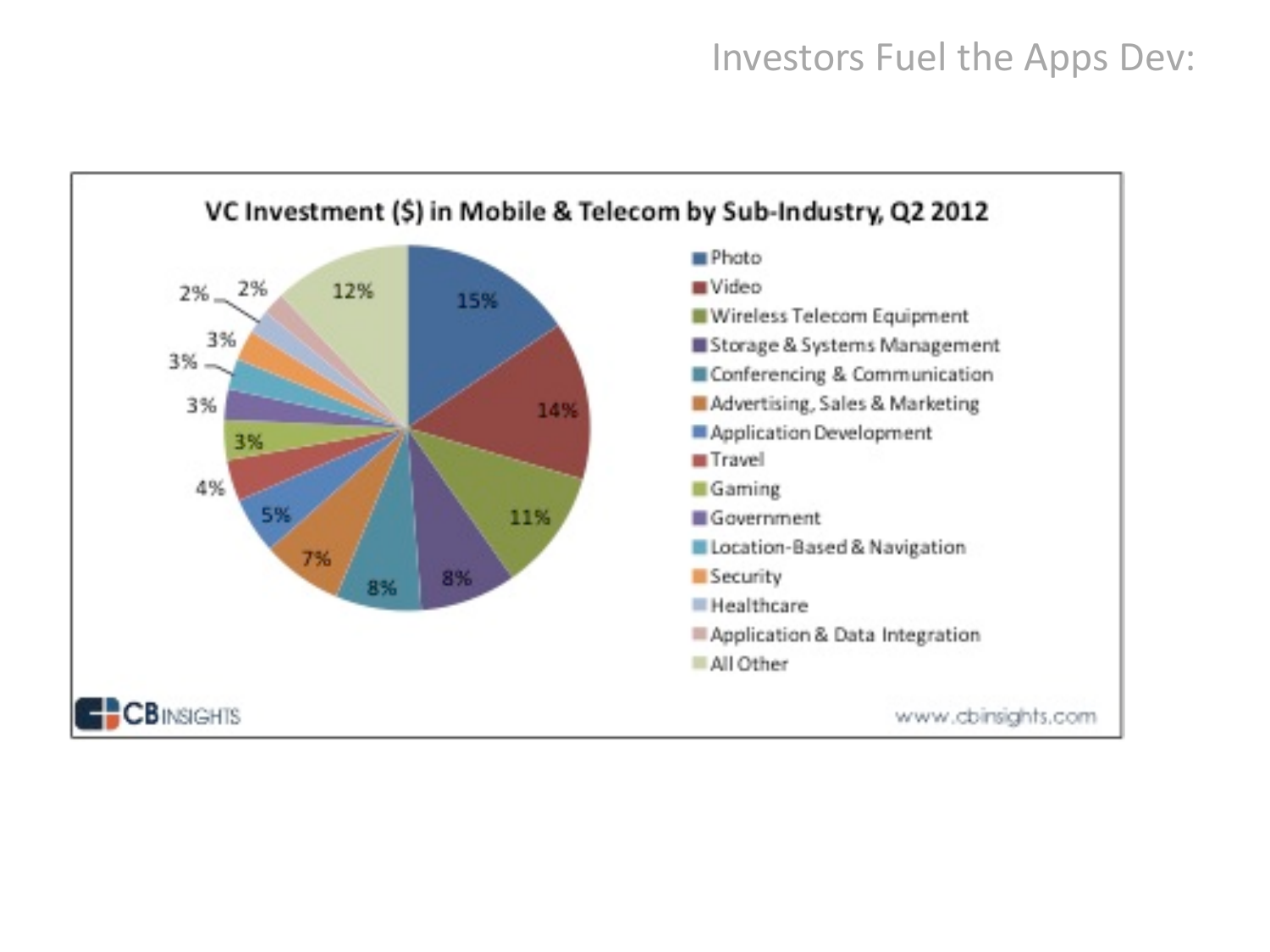#### Investors Fuel the Apps Dev:

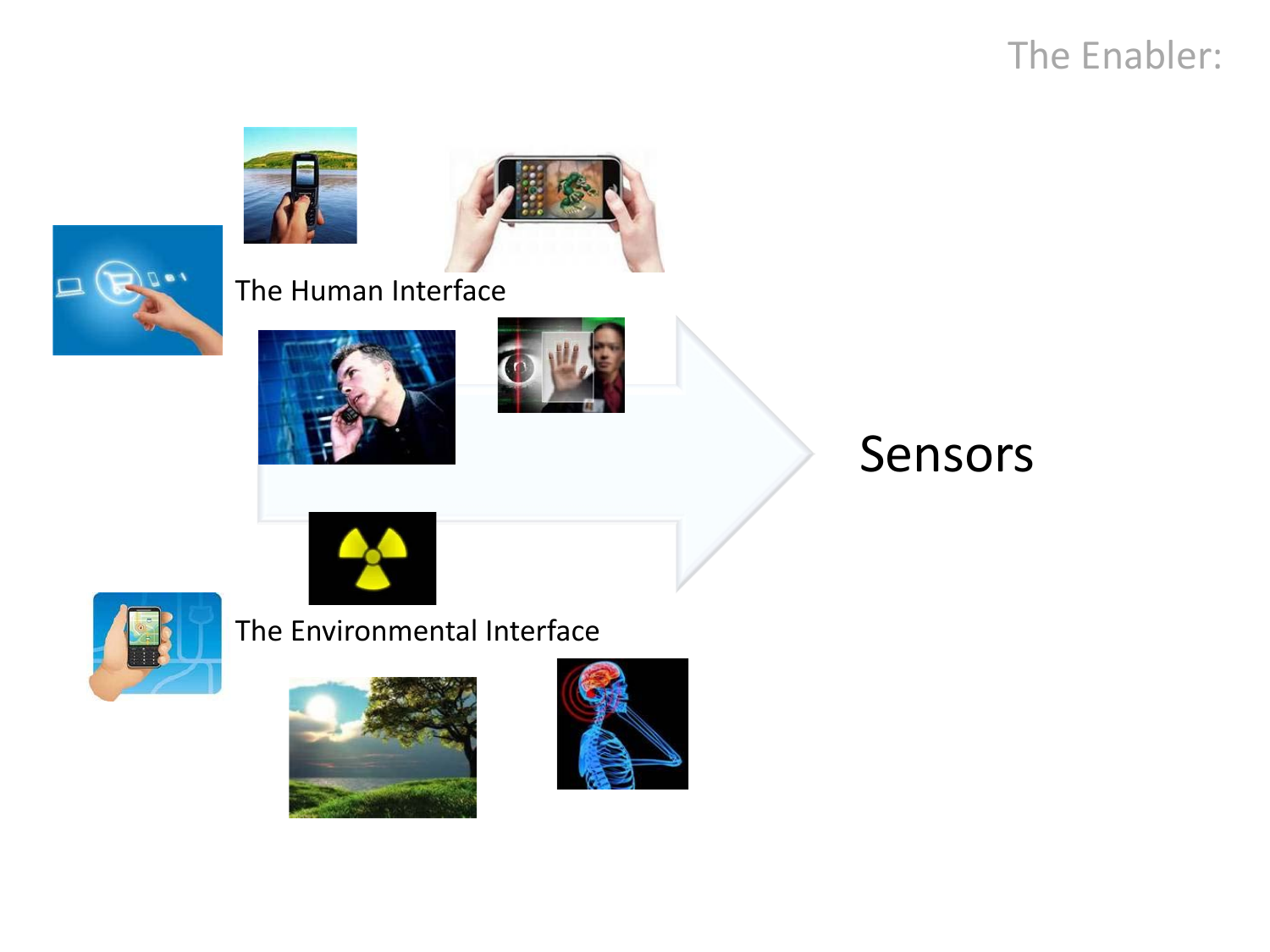## The Enabler:







#### The Human Interface





## Sensors



#### The Environmental Interface



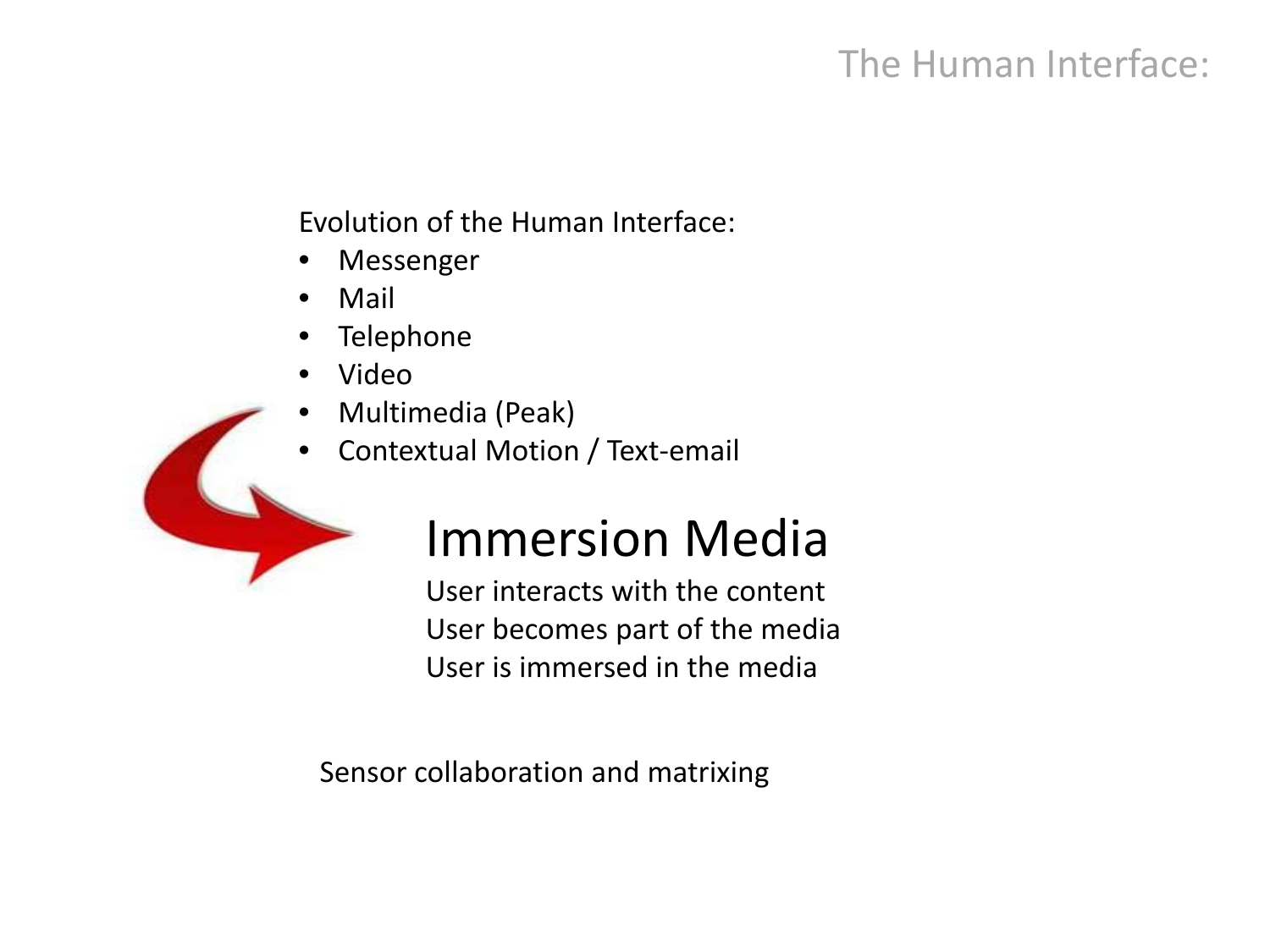## The Human Interface:

Evolution of the Human Interface:

- **Messenger**
- Mail
- Telephone
- Video
- Multimedia (Peak)
- Contextual Motion / Text-email



# Immersion Media

User interacts with the content User becomes part of the media User is immersed in the media

Sensor collaboration and matrixing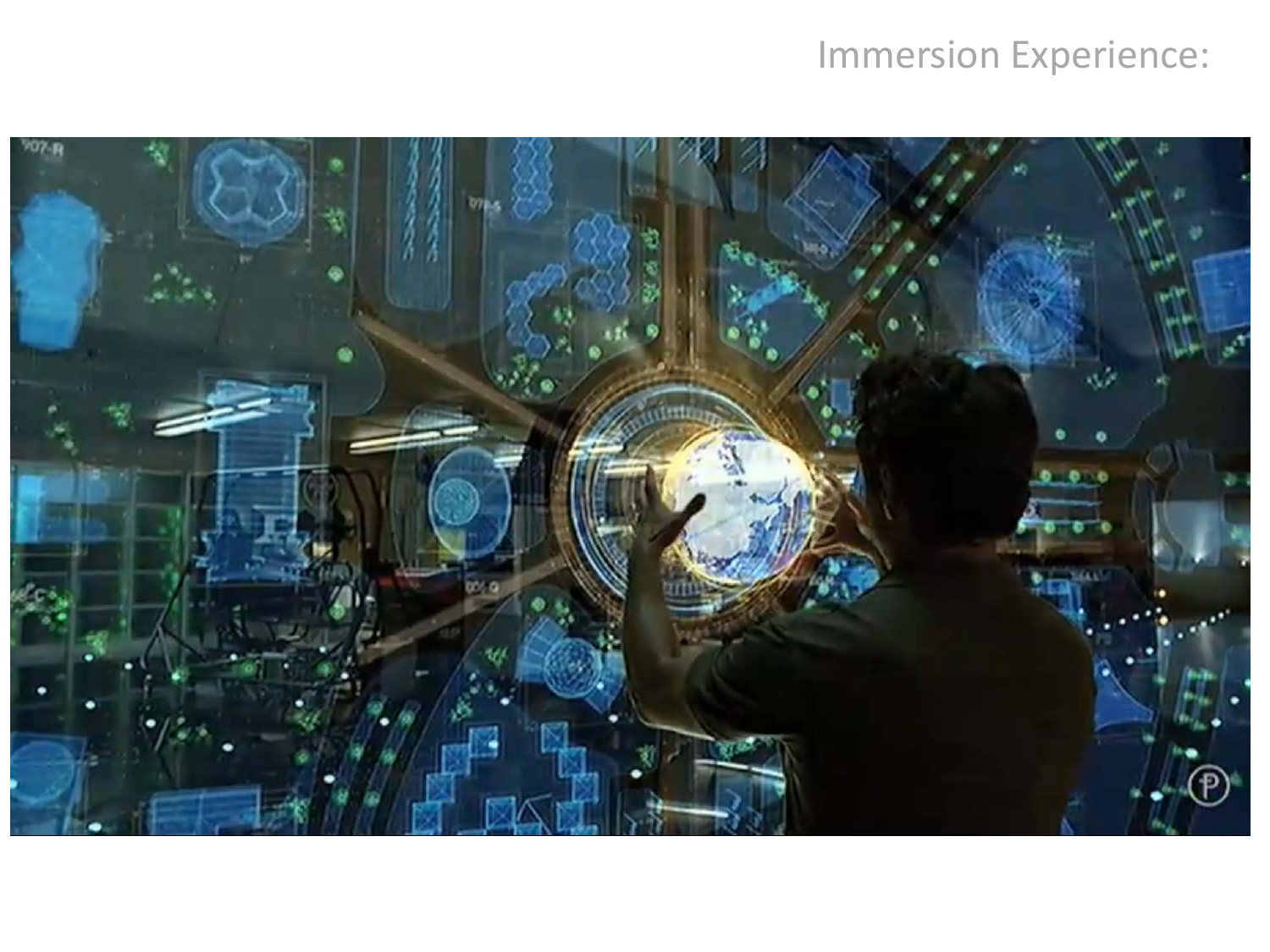## Immersion Experience:

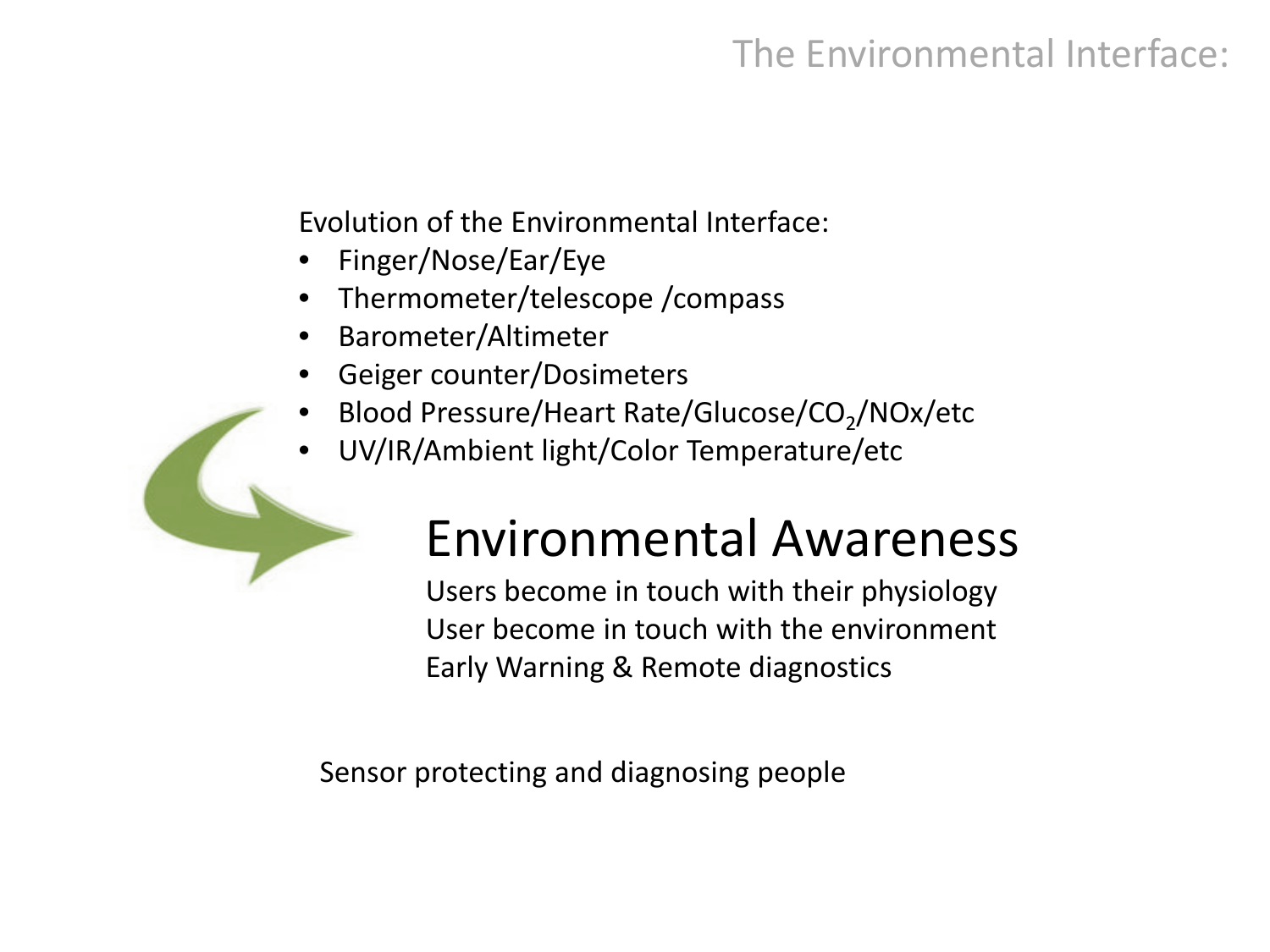## The Environmental Interface:

Evolution of the Environmental Interface:

- Finger/Nose/Ear/Eye
- Thermometer/telescope /compass
- Barometer/Altimeter
- Geiger counter/Dosimeters
- Blood Pressure/Heart Rate/Glucose/CO<sub>2</sub>/NOx/etc
- UV/IR/Ambient light/Color Temperature/etc

# Environmental Awareness

Users become in touch with their physiology User become in touch with the environment Early Warning & Remote diagnostics

Sensor protecting and diagnosing people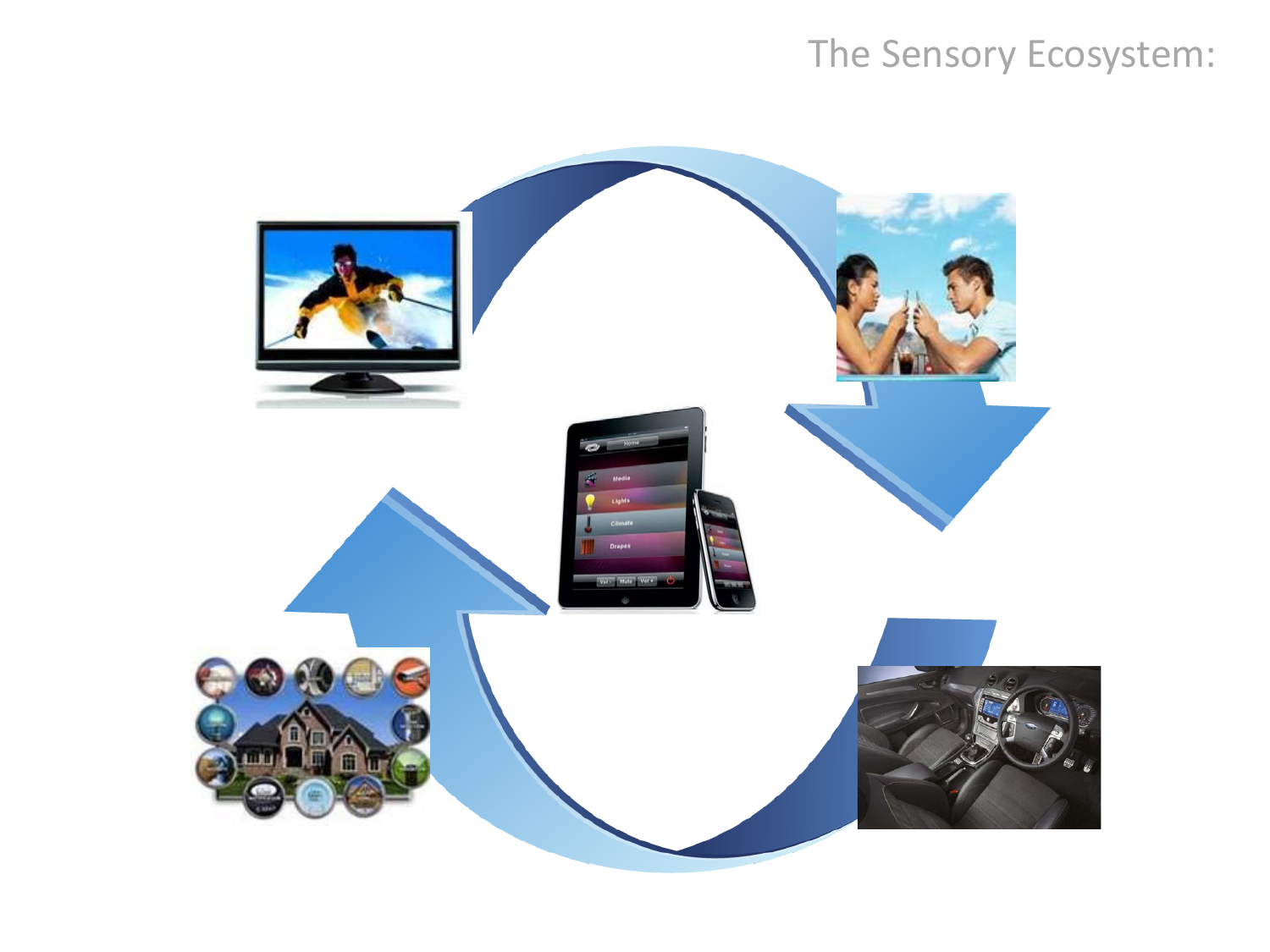## The Sensory Ecosystem:

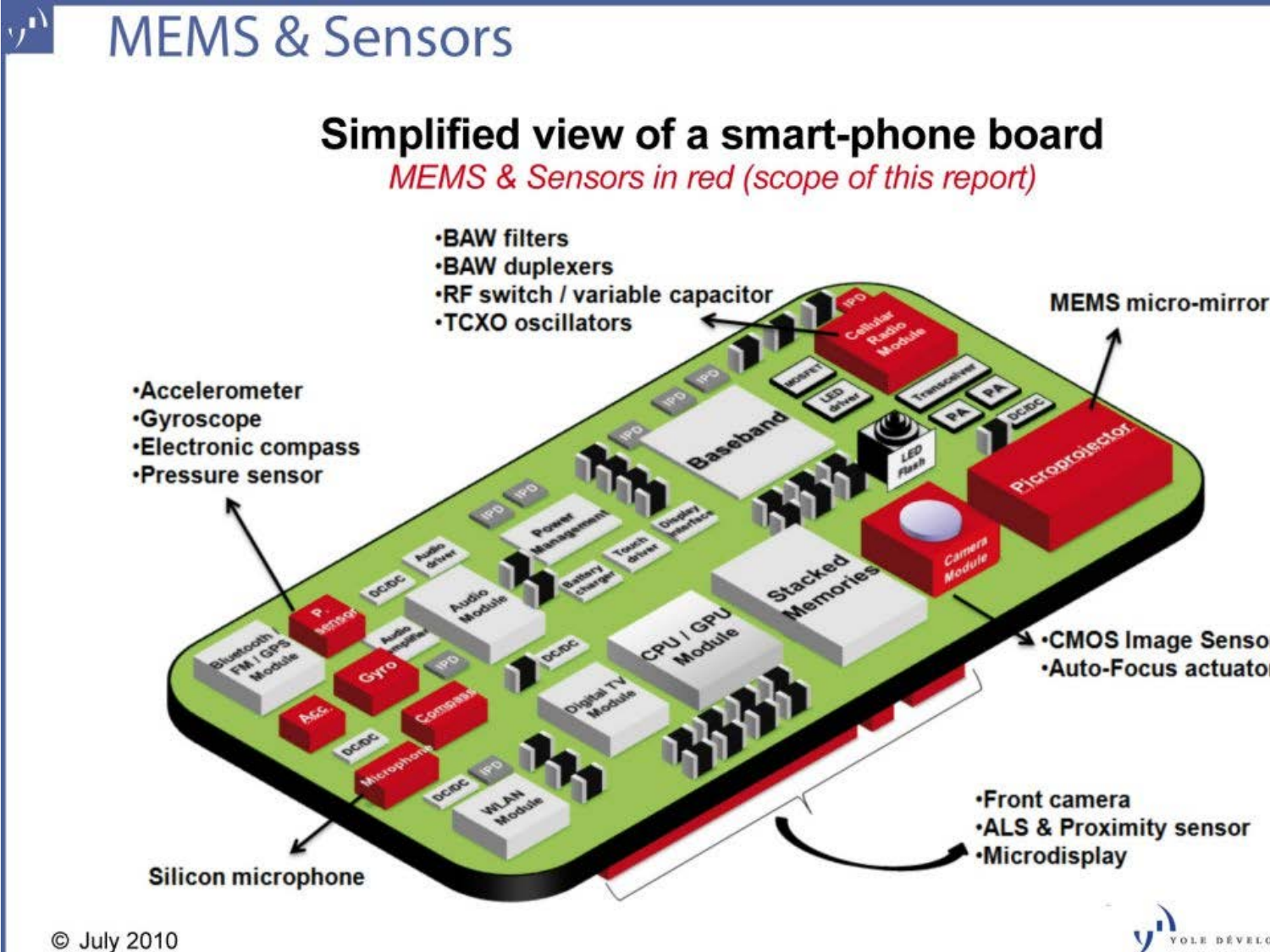#### $y<sup>1</sup>$ **MEMS & Sensors**

## Simplified view of a smart-phone board

MEMS & Sensors in red (scope of this report)

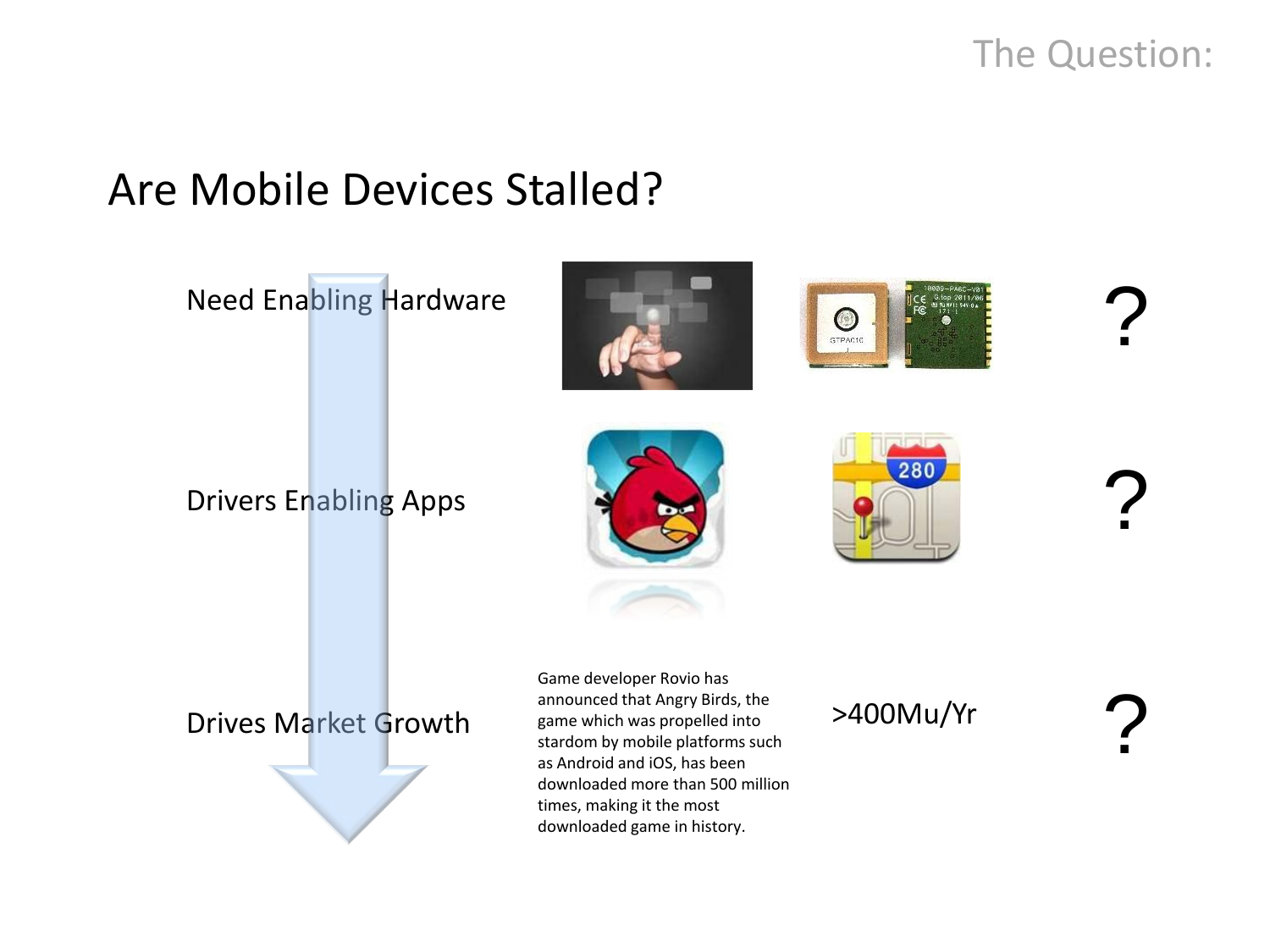#### The Question:

## Are Mobile Devices Stalled?

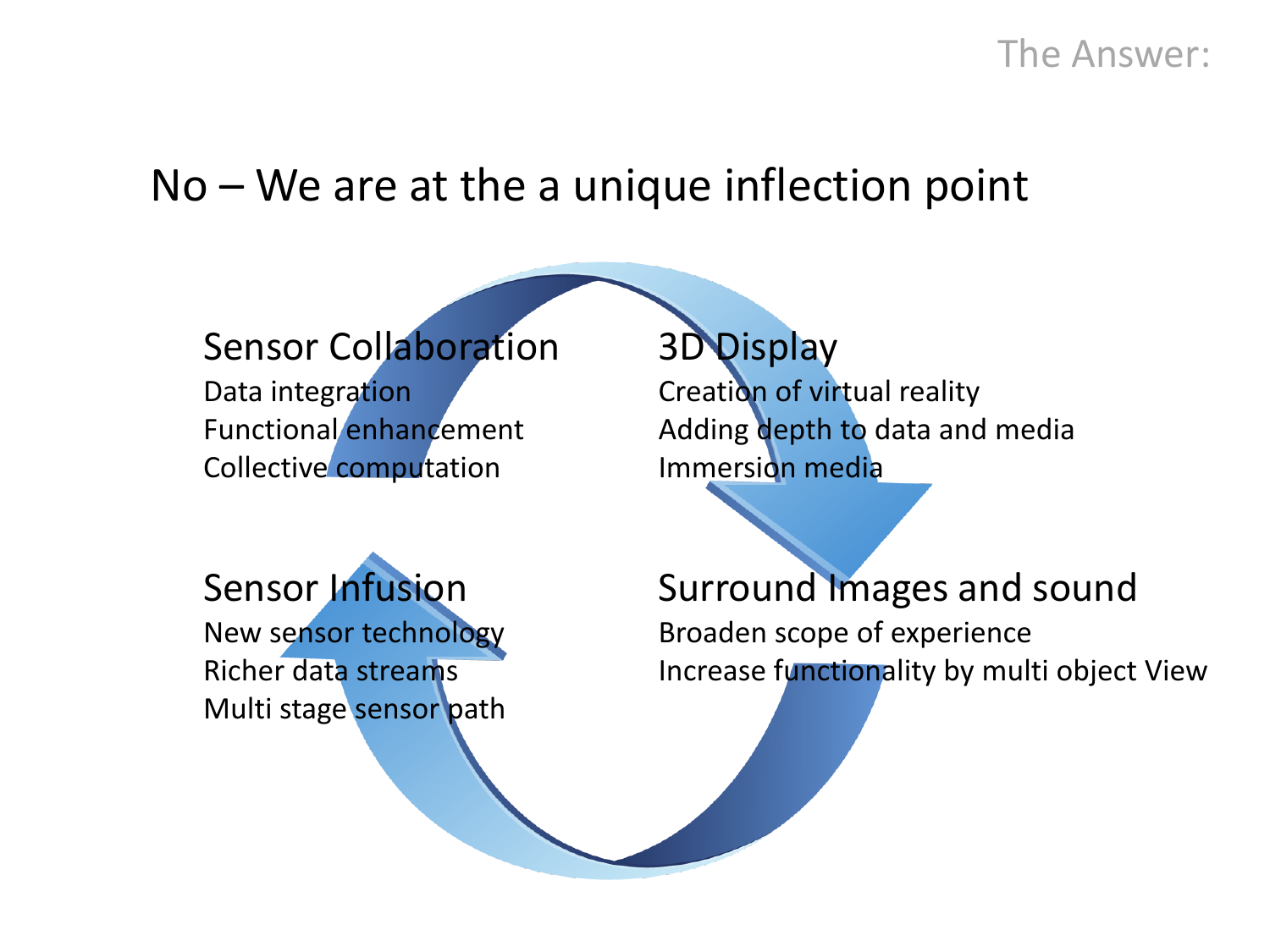#### The Answer:

## No – We are at the a unique inflection point

#### Sensor Collaboration

Data integration Functional enhancement Collective computation

Sensor Infusion New sensor technology Richer data streams Multi stage sensor path

## 3D Display

Creation of virtual reality Adding depth to data and media Immersion media

Surround Images and sound Broaden scope of experience Increase functionality by multi object View